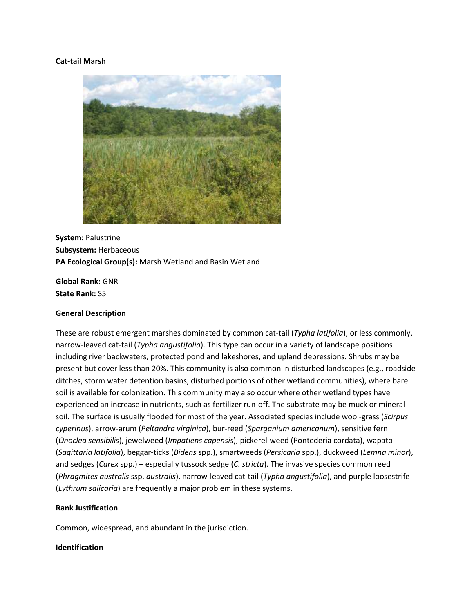## **Cat-tail Marsh**



**System:** Palustrine **Subsystem:** Herbaceous **PA Ecological Group(s):** Marsh Wetland and Basin Wetland

**Global Rank:** GNR **State Rank:** S5

#### **General Description**

These are robust emergent marshes dominated by common cat-tail (*Typha latifolia*), or less commonly, narrow-leaved cat-tail (*Typha angustifolia*). This type can occur in a variety of landscape positions including river backwaters, protected pond and lakeshores, and upland depressions. Shrubs may be present but cover less than 20%. This community is also common in disturbed landscapes (e.g., roadside ditches, storm water detention basins, disturbed portions of other wetland communities), where bare soil is available for colonization. This community may also occur where other wetland types have experienced an increase in nutrients, such as fertilizer run-off. The substrate may be muck or mineral soil. The surface is usually flooded for most of the year. Associated species include wool-grass (*Scirpus cyperinus*), arrow-arum (*Peltandra virginica*), bur-reed (*Sparganium americanum*), sensitive fern (*Onoclea sensibilis*), jewelweed (*Impatiens capensis*), pickerel-weed (Pontederia cordata), wapato (*Sagittaria latifolia*), beggar-ticks (*Bidens* spp.), smartweeds (*Persicaria* spp.), duckweed (*Lemna minor*), and sedges (*Carex* spp.) – especially tussock sedge (*C. stricta*). The invasive species common reed (*Phragmites australis* ssp. *australis*), narrow-leaved cat-tail (*Typha angustifolia*), and purple loosestrife (*Lythrum salicaria*) are frequently a major problem in these systems.

## **Rank Justification**

Common, widespread, and abundant in the jurisdiction.

# **Identification**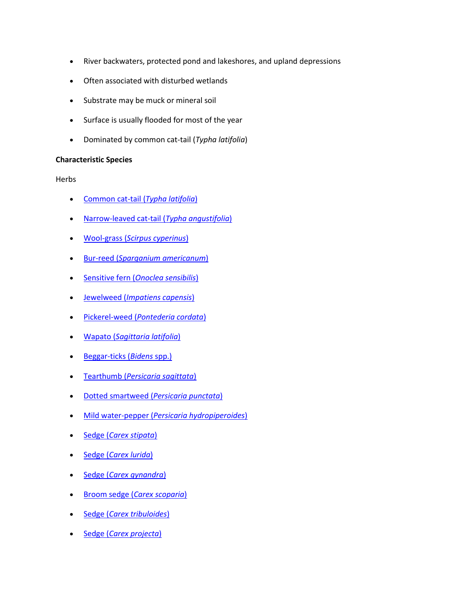- River backwaters, protected pond and lakeshores, and upland depressions
- Often associated with disturbed wetlands
- Substrate may be muck or mineral soil
- Surface is usually flooded for most of the year
- Dominated by common cat-tail (*Typha latifolia*)

# **Characteristic Species**

Herbs

- [Common cat-tail \(](http://www.natureserve.org/explorer/servlet/NatureServe?searchName=Typha+latifolia)*Typha latifolia*)
- [Narrow-leaved cat-tail \(](http://www.natureserve.org/explorer/servlet/NatureServe?searchName=Typha+angustifolia)*Typha angustifolia*)
- Wool-grass (*[Scirpus cyperinus](http://www.natureserve.org/explorer/servlet/NatureServe?searchName=Scirpus+cyperinus)*)
- Bur-reed (*[Sparganium americanum](http://www.natureserve.org/explorer/servlet/NatureServe?searchName=Sparganium+americanum)*)
- Sensitive fern (*[Onoclea sensibilis](http://www.natureserve.org/explorer/servlet/NatureServe?searchName=Onoclea+sensibilis)*)
- Jewelweed (*[Impatiens capensis](http://www.natureserve.org/explorer/servlet/NatureServe?searchName=Impatiens+capensis)*)
- Pickerel-weed (*[Pontederia cordata](http://www.natureserve.org/explorer/servlet/NatureServe?searchName=Pontederia+cordata)*)
- Wapato (*[Sagittaria latifolia](http://www.natureserve.org/explorer/servlet/NatureServe?searchName=Sagittaria+latifolia)*)
- [Beggar-ticks \(](http://www.natureserve.org/explorer/servlet/NatureServe?searchSciOrCommonName=bidens)*Bidens* spp.)
- Tearthumb (*[Persicaria sagittata](http://www.natureserve.org/explorer/servlet/NatureServe?searchName=Polygonum+sagittatum%20)*)
- [Dotted smartweed \(](http://www.natureserve.org/explorer/servlet/NatureServe?searchName=Polygonum+punctatum%20%20)*Persicaria punctata*)
- Mild water-pepper (*[Persicaria hydropiperoides](http://www.natureserve.org/explorer/servlet/NatureServe?searchName=Polygonum%20+hydropiperoides)*)
- Sedge (*[Carex stipata](http://www.natureserve.org/explorer/servlet/NatureServe?searchName=Carex+stipata)*)
- Sedge (*[Carex lurida](http://www.natureserve.org/explorer/servlet/NatureServe?searchName=Carex+lurida)*)
- Sedge (*[Carex gynandra](http://www.natureserve.org/explorer/servlet/NatureServe?searchName=Carex+gynandra)*)
- Broom sedge (*[Carex scoparia](http://www.natureserve.org/explorer/servlet/NatureServe?searchName=Carex+scoparia)*)
- Sedge (*[Carex tribuloides](http://www.natureserve.org/explorer/servlet/NatureServe?searchName=Carex+tribuloides)*)
- Sedge (*[Carex projecta](http://www.natureserve.org/explorer/servlet/NatureServe?searchName=Carex+projecta)*)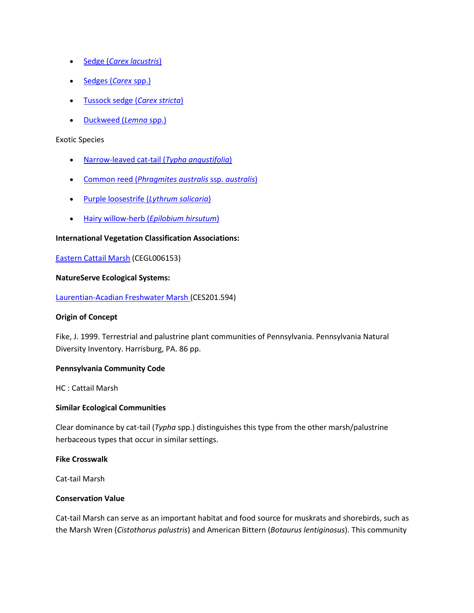- Sedge (*[Carex lacustris](http://www.natureserve.org/explorer/servlet/NatureServe?searchName=Carex+lacustris)*)
- [Sedges \(](http://www.natureserve.org/explorer/servlet/NatureServe?searchSciOrCommonName=carex)*Carex spp.*)
- [Tussock sedge \(](http://www.natureserve.org/explorer/servlet/NatureServe?searchName=Carex+stricta)*Carex stricta*)
- [Duckweed \(](http://www.natureserve.org/explorer/servlet/NatureServe?searchSciOrCommonName=lemna)*Lemna* spp.)

#### Exotic Species

- [Narrow-leaved cat-tail \(](http://www.natureserve.org/explorer/servlet/NatureServe?searchName=Typha+angustifolia)*Typha angustifolia*)
- Common reed (*[Phragmites australis](http://www.natureserve.org/explorer/servlet/NatureServe?searchName=Phragmites+australis+ssp.+australis)* ssp. *australis*)
- [Purple loosestrife \(](http://www.natureserve.org/explorer/servlet/NatureServe?searchName=Lythrum+salicaria)*Lythrum salicaria*)
- Hairy willow-herb (*[Epilobium hirsutum](http://www.natureserve.org/explorer/servlet/NatureServe?searchName=Epilobium+hirsutum)*)

# **International Vegetation Classification Associations:**

[Eastern Cattail Marsh](http://www.natureserve.org/explorer/servlet/NatureServe?searchCommunityUid=ELEMENT_GLOBAL.2.685511) (CEGL006153)

## **NatureServe Ecological Systems:**

[Laurentian-Acadian Freshwater Marsh \(](http://www.natureserve.org/explorer/servlet/NatureServe?searchSystemUid=ELEMENT_GLOBAL.2.731557)CES201.594)

# **Origin of Concept**

Fike, J. 1999. Terrestrial and palustrine plant communities of Pennsylvania. Pennsylvania Natural Diversity Inventory. Harrisburg, PA. 86 pp.

# **Pennsylvania Community Code**

HC : Cattail Marsh

#### **Similar Ecological Communities**

Clear dominance by cat-tail (*Typha* spp.) distinguishes this type from the other marsh/palustrine herbaceous types that occur in similar settings.

## **Fike Crosswalk**

Cat-tail Marsh

#### **Conservation Value**

Cat-tail Marsh can serve as an important habitat and food source for muskrats and shorebirds, such as the Marsh Wren (*Cistothorus palustris*) and American Bittern (*Botaurus lentiginosus*). This community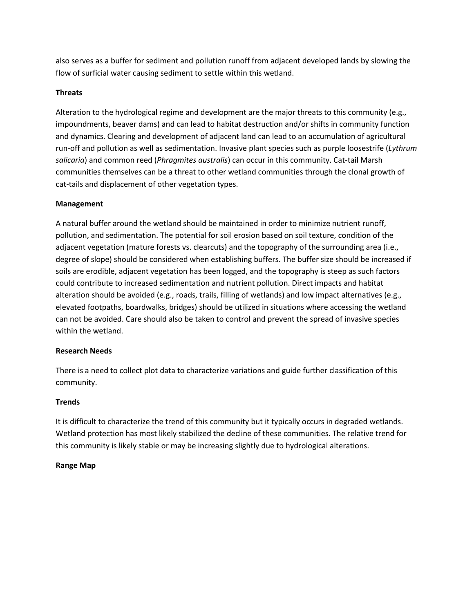also serves as a buffer for sediment and pollution runoff from adjacent developed lands by slowing the flow of surficial water causing sediment to settle within this wetland.

# **Threats**

Alteration to the hydrological regime and development are the major threats to this community (e.g., impoundments, beaver dams) and can lead to habitat destruction and/or shifts in community function and dynamics. Clearing and development of adjacent land can lead to an accumulation of agricultural run-off and pollution as well as sedimentation. Invasive plant species such as purple loosestrife (*Lythrum salicaria*) and common reed (*Phragmites australis*) can occur in this community. Cat-tail Marsh communities themselves can be a threat to other wetland communities through the clonal growth of cat-tails and displacement of other vegetation types.

# **Management**

A natural buffer around the wetland should be maintained in order to minimize nutrient runoff, pollution, and sedimentation. The potential for soil erosion based on soil texture, condition of the adjacent vegetation (mature forests vs. clearcuts) and the topography of the surrounding area (i.e., degree of slope) should be considered when establishing buffers. The buffer size should be increased if soils are erodible, adjacent vegetation has been logged, and the topography is steep as such factors could contribute to increased sedimentation and nutrient pollution. Direct impacts and habitat alteration should be avoided (e.g., roads, trails, filling of wetlands) and low impact alternatives (e.g., elevated footpaths, boardwalks, bridges) should be utilized in situations where accessing the wetland can not be avoided. Care should also be taken to control and prevent the spread of invasive species within the wetland.

# **Research Needs**

There is a need to collect plot data to characterize variations and guide further classification of this community.

# **Trends**

It is difficult to characterize the trend of this community but it typically occurs in degraded wetlands. Wetland protection has most likely stabilized the decline of these communities. The relative trend for this community is likely stable or may be increasing slightly due to hydrological alterations.

# **Range Map**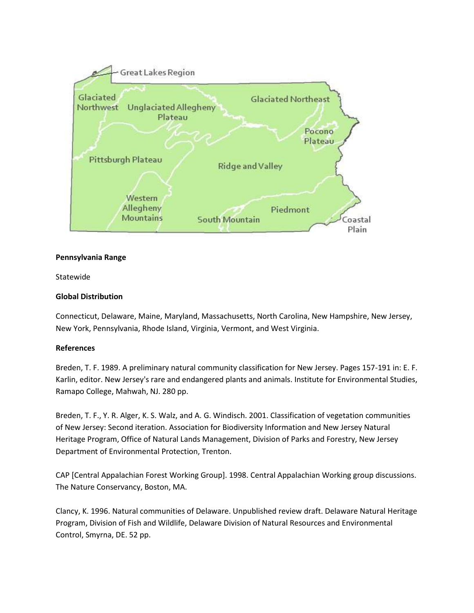

## **Pennsylvania Range**

Statewide

# **Global Distribution**

Connecticut, Delaware, Maine, Maryland, Massachusetts, North Carolina, New Hampshire, New Jersey, New York, Pennsylvania, Rhode Island, Virginia, Vermont, and West Virginia.

#### **References**

Breden, T. F. 1989. A preliminary natural community classification for New Jersey. Pages 157-191 in: E. F. Karlin, editor. New Jersey's rare and endangered plants and animals. Institute for Environmental Studies, Ramapo College, Mahwah, NJ. 280 pp.

Breden, T. F., Y. R. Alger, K. S. Walz, and A. G. Windisch. 2001. Classification of vegetation communities of New Jersey: Second iteration. Association for Biodiversity Information and New Jersey Natural Heritage Program, Office of Natural Lands Management, Division of Parks and Forestry, New Jersey Department of Environmental Protection, Trenton.

CAP [Central Appalachian Forest Working Group]. 1998. Central Appalachian Working group discussions. The Nature Conservancy, Boston, MA.

Clancy, K. 1996. Natural communities of Delaware. Unpublished review draft. Delaware Natural Heritage Program, Division of Fish and Wildlife, Delaware Division of Natural Resources and Environmental Control, Smyrna, DE. 52 pp.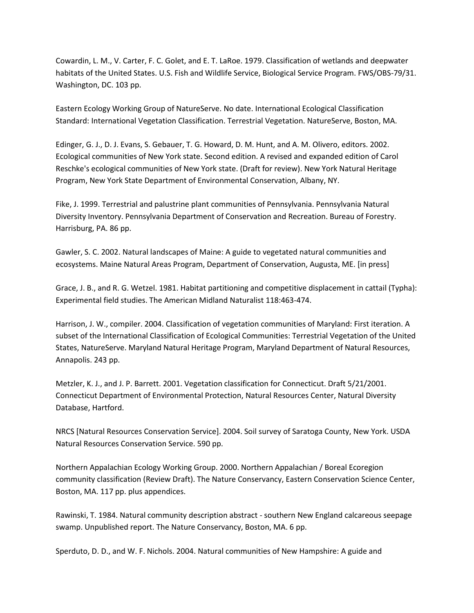Cowardin, L. M., V. Carter, F. C. Golet, and E. T. LaRoe. 1979. Classification of wetlands and deepwater habitats of the United States. U.S. Fish and Wildlife Service, Biological Service Program. FWS/OBS-79/31. Washington, DC. 103 pp.

Eastern Ecology Working Group of NatureServe. No date. International Ecological Classification Standard: International Vegetation Classification. Terrestrial Vegetation. NatureServe, Boston, MA.

Edinger, G. J., D. J. Evans, S. Gebauer, T. G. Howard, D. M. Hunt, and A. M. Olivero, editors. 2002. Ecological communities of New York state. Second edition. A revised and expanded edition of Carol Reschke's ecological communities of New York state. (Draft for review). New York Natural Heritage Program, New York State Department of Environmental Conservation, Albany, NY.

Fike, J. 1999. Terrestrial and palustrine plant communities of Pennsylvania. Pennsylvania Natural Diversity Inventory. Pennsylvania Department of Conservation and Recreation. Bureau of Forestry. Harrisburg, PA. 86 pp.

Gawler, S. C. 2002. Natural landscapes of Maine: A guide to vegetated natural communities and ecosystems. Maine Natural Areas Program, Department of Conservation, Augusta, ME. [in press]

Grace, J. B., and R. G. Wetzel. 1981. Habitat partitioning and competitive displacement in cattail (Typha): Experimental field studies. The American Midland Naturalist 118:463-474.

Harrison, J. W., compiler. 2004. Classification of vegetation communities of Maryland: First iteration. A subset of the International Classification of Ecological Communities: Terrestrial Vegetation of the United States, NatureServe. Maryland Natural Heritage Program, Maryland Department of Natural Resources, Annapolis. 243 pp.

Metzler, K. J., and J. P. Barrett. 2001. Vegetation classification for Connecticut. Draft 5/21/2001. Connecticut Department of Environmental Protection, Natural Resources Center, Natural Diversity Database, Hartford.

NRCS [Natural Resources Conservation Service]. 2004. Soil survey of Saratoga County, New York. USDA Natural Resources Conservation Service. 590 pp.

Northern Appalachian Ecology Working Group. 2000. Northern Appalachian / Boreal Ecoregion community classification (Review Draft). The Nature Conservancy, Eastern Conservation Science Center, Boston, MA. 117 pp. plus appendices.

Rawinski, T. 1984. Natural community description abstract - southern New England calcareous seepage swamp. Unpublished report. The Nature Conservancy, Boston, MA. 6 pp.

Sperduto, D. D., and W. F. Nichols. 2004. Natural communities of New Hampshire: A guide and